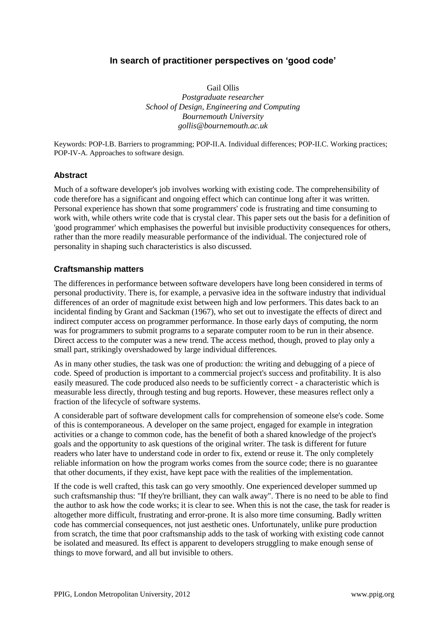# **In search of practitioner perspectives on 'good code'**

Gail Ollis

*Postgraduate researcher School of Design, Engineering and Computing Bournemouth University gollis@bournemouth.ac.uk*

Keywords: POP-I.B. Barriers to programming; POP-II.A. Individual differences; POP-II.C. Working practices; POP-IV-A. Approaches to software design.

### **Abstract**

Much of a software developer's job involves working with existing code. The comprehensibility of code therefore has a significant and ongoing effect which can continue long after it was written. Personal experience has shown that some programmers' code is frustrating and time consuming to work with, while others write code that is crystal clear. This paper sets out the basis for a definition of 'good programmer' which emphasises the powerful but invisible productivity consequences for others, rather than the more readily measurable performance of the individual. The conjectured role of personality in shaping such characteristics is also discussed.

### **Craftsmanship matters**

The differences in performance between software developers have long been considered in terms of personal productivity. There is, for example, a pervasive idea in the software industry that individual differences of an order of magnitude exist between high and low performers. This dates back to an incidental finding by Grant and Sackman (1967), who set out to investigate the effects of direct and indirect computer access on programmer performance. In those early days of computing, the norm was for programmers to submit programs to a separate computer room to be run in their absence. Direct access to the computer was a new trend. The access method, though, proved to play only a small part, strikingly overshadowed by large individual differences.

As in many other studies, the task was one of production: the writing and debugging of a piece of code. Speed of production is important to a commercial project's success and profitability. It is also easily measured. The code produced also needs to be sufficiently correct - a characteristic which is measurable less directly, through testing and bug reports. However, these measures reflect only a fraction of the lifecycle of software systems.

A considerable part of software development calls for comprehension of someone else's code. Some of this is contemporaneous. A developer on the same project, engaged for example in integration activities or a change to common code, has the benefit of both a shared knowledge of the project's goals and the opportunity to ask questions of the original writer. The task is different for future readers who later have to understand code in order to fix, extend or reuse it. The only completely reliable information on how the program works comes from the source code; there is no guarantee that other documents, if they exist, have kept pace with the realities of the implementation.

If the code is well crafted, this task can go very smoothly. One experienced developer summed up such craftsmanship thus: "If they're brilliant, they can walk away". There is no need to be able to find the author to ask how the code works; it is clear to see. When this is not the case, the task for reader is altogether more difficult, frustrating and error-prone. It is also more time consuming. Badly written code has commercial consequences, not just aesthetic ones. Unfortunately, unlike pure production from scratch, the time that poor craftsmanship adds to the task of working with existing code cannot be isolated and measured. Its effect is apparent to developers struggling to make enough sense of things to move forward, and all but invisible to others.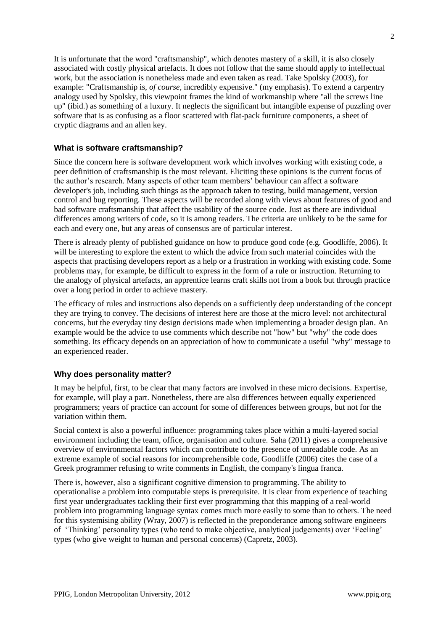It is unfortunate that the word "craftsmanship", which denotes mastery of a skill, it is also closely associated with costly physical artefacts. It does not follow that the same should apply to intellectual work, but the association is nonetheless made and even taken as read. Take Spolsky (2003), for example: "Craftsmanship is, *of course*, incredibly expensive." (my emphasis). To extend a carpentry analogy used by Spolsky, this viewpoint frames the kind of workmanship where "all the screws line up" (ibid.) as something of a luxury. It neglects the significant but intangible expense of puzzling over software that is as confusing as a floor scattered with flat-pack furniture components, a sheet of cryptic diagrams and an allen key.

# **What is software craftsmanship?**

Since the concern here is software development work which involves working with existing code, a peer definition of craftsmanship is the most relevant. Eliciting these opinions is the current focus of the author's research. Many aspects of other team members' behaviour can affect a software developer's job, including such things as the approach taken to testing, build management, version control and bug reporting. These aspects will be recorded along with views about features of good and bad software craftsmanship that affect the usability of the source code. Just as there are individual differences among writers of code, so it is among readers. The criteria are unlikely to be the same for each and every one, but any areas of consensus are of particular interest.

There is already plenty of published guidance on how to produce good code (e.g. Goodliffe, 2006). It will be interesting to explore the extent to which the advice from such material coincides with the aspects that practising developers report as a help or a frustration in working with existing code. Some problems may, for example, be difficult to express in the form of a rule or instruction. Returning to the analogy of physical artefacts, an apprentice learns craft skills not from a book but through practice over a long period in order to achieve mastery.

The efficacy of rules and instructions also depends on a sufficiently deep understanding of the concept they are trying to convey. The decisions of interest here are those at the micro level: not architectural concerns, but the everyday tiny design decisions made when implementing a broader design plan. An example would be the advice to use comments which describe not "how" but "why" the code does something. Its efficacy depends on an appreciation of how to communicate a useful "why" message to an experienced reader.

# **Why does personality matter?**

It may be helpful, first, to be clear that many factors are involved in these micro decisions. Expertise, for example, will play a part. Nonetheless, there are also differences between equally experienced programmers; years of practice can account for some of differences between groups, but not for the variation within them.

Social context is also a powerful influence: programming takes place within a multi-layered social environment including the team, office, organisation and culture. Saha (2011) gives a comprehensive overview of environmental factors which can contribute to the presence of unreadable code. As an extreme example of social reasons for incomprehensible code, Goodliffe (2006) cites the case of a Greek programmer refusing to write comments in English, the company's lingua franca.

There is, however, also a significant cognitive dimension to programming. The ability to operationalise a problem into computable steps is prerequisite. It is clear from experience of teaching first year undergraduates tackling their first ever programming that this mapping of a real-world problem into programming language syntax comes much more easily to some than to others. The need for this systemising ability (Wray, 2007) is reflected in the preponderance among software engineers of 'Thinking' personality types (who tend to make objective, analytical judgements) over 'Feeling' types (who give weight to human and personal concerns) (Capretz, 2003).